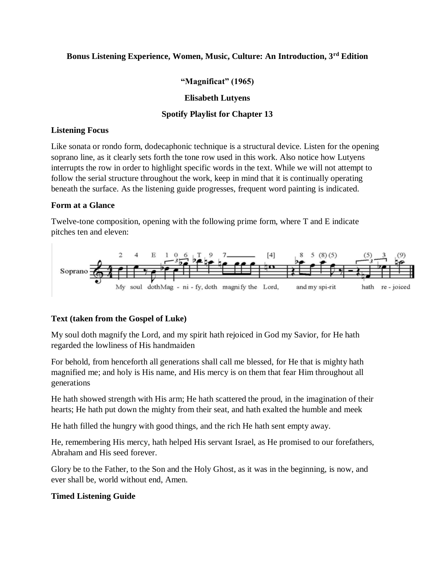# **Bonus Listening Experience, Women, Music, Culture: An Introduction, 3rd Edition**

# **"Magnificat" (1965)**

#### **Elisabeth Lutyens**

### **Spotify Playlist for Chapter 13**

#### **Listening Focus**

Like sonata or rondo form, dodecaphonic technique is a structural device. Listen for the opening soprano line, as it clearly sets forth the tone row used in this work. Also notice how Lutyens interrupts the row in order to highlight specific words in the text. While we will not attempt to follow the serial structure throughout the work, keep in mind that it is continually operating beneath the surface. As the listening guide progresses, frequent word painting is indicated.

### **Form at a Glance**

Twelve-tone composition, opening with the following prime form, where T and E indicate pitches ten and eleven:



# **Text (taken from the Gospel of Luke)**

My soul doth magnify the Lord, and my spirit hath rejoiced in God my Savior, for He hath regarded the lowliness of His handmaiden

For behold, from henceforth all generations shall call me blessed, for He that is mighty hath magnified me; and holy is His name, and His mercy is on them that fear Him throughout all generations

He hath showed strength with His arm; He hath scattered the proud, in the imagination of their hearts; He hath put down the mighty from their seat, and hath exalted the humble and meek

He hath filled the hungry with good things, and the rich He hath sent empty away.

He, remembering His mercy, hath helped His servant Israel, as He promised to our forefathers, Abraham and His seed forever.

Glory be to the Father, to the Son and the Holy Ghost, as it was in the beginning, is now, and ever shall be, world without end, Amen.

# **Timed Listening Guide**